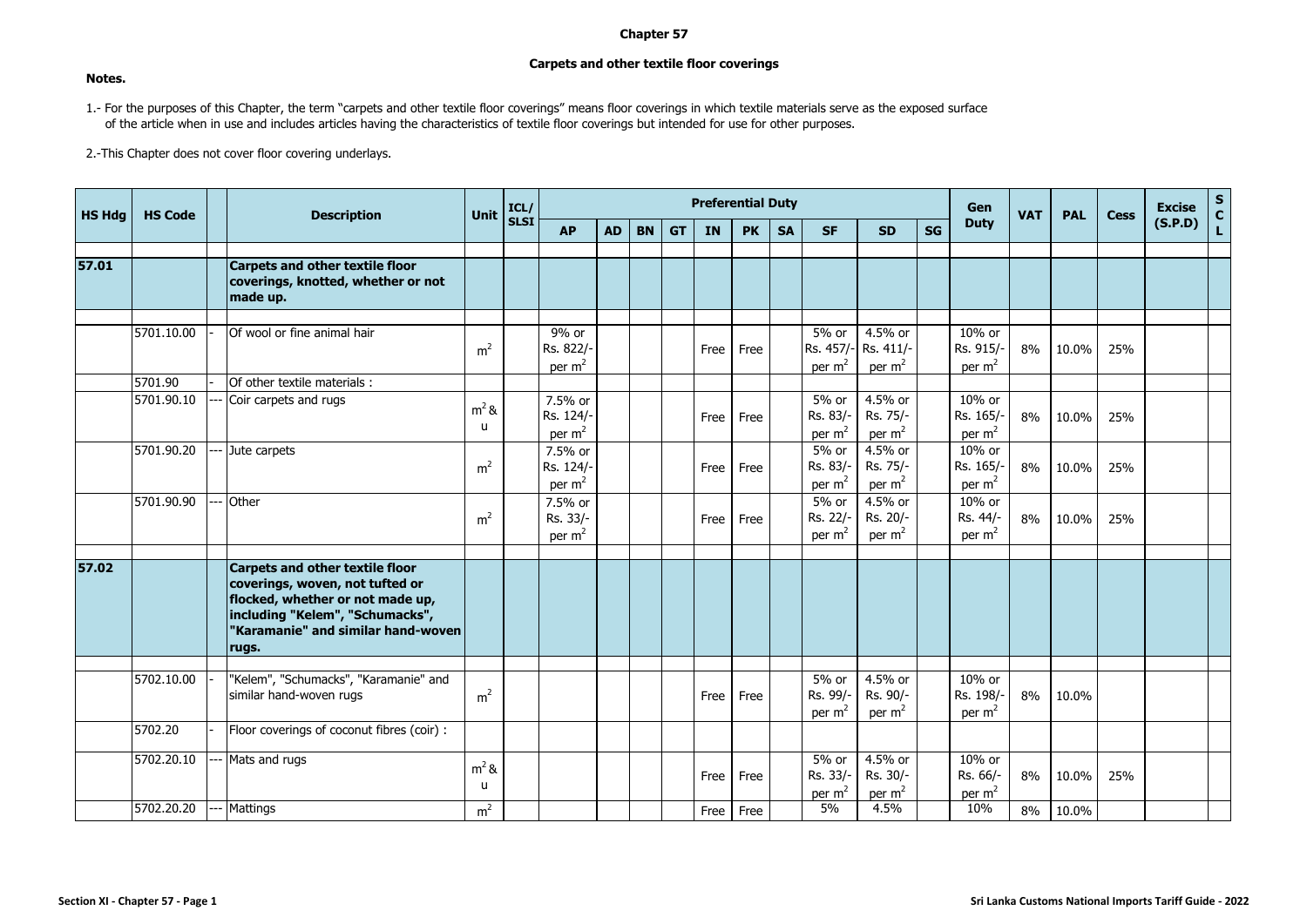## **Chapter 57**

## **Carpets and other textile floor coverings**

## **Notes.**

1.- For the purposes of this Chapter, the term "carpets and other textile floor coverings" means floor coverings in which textile materials serve as the exposed surface of the article when in use and includes articles having the characteristics of textile floor coverings but intended for use for other purposes.

2.-This Chapter does not cover floor covering underlays.

| <b>HS Hdg</b> | <b>HS Code</b> |  | <b>Description</b>                                                                                                                                                                              | Unit               | ICL/        |                                            |           |           |           |           | <b>Preferential Duty</b> |           |                                |                                  |           | Gen                                      | <b>VAT</b> | <b>PAL</b> | <b>Cess</b> | <b>Excise</b> | S<br>C<br>L |
|---------------|----------------|--|-------------------------------------------------------------------------------------------------------------------------------------------------------------------------------------------------|--------------------|-------------|--------------------------------------------|-----------|-----------|-----------|-----------|--------------------------|-----------|--------------------------------|----------------------------------|-----------|------------------------------------------|------------|------------|-------------|---------------|-------------|
|               |                |  |                                                                                                                                                                                                 |                    | <b>SLSI</b> | <b>AP</b>                                  | <b>AD</b> | <b>BN</b> | <b>GT</b> | <b>IN</b> | <b>PK</b>                | <b>SA</b> | <b>SF</b>                      | <b>SD</b>                        | <b>SG</b> | <b>Duty</b>                              |            |            |             | (S.P.D)       |             |
|               |                |  |                                                                                                                                                                                                 |                    |             |                                            |           |           |           |           |                          |           |                                |                                  |           |                                          |            |            |             |               |             |
| 57.01         |                |  | <b>Carpets and other textile floor</b><br>coverings, knotted, whether or not<br>made up.                                                                                                        |                    |             |                                            |           |           |           |           |                          |           |                                |                                  |           |                                          |            |            |             |               |             |
|               |                |  |                                                                                                                                                                                                 |                    |             |                                            |           |           |           |           |                          |           |                                |                                  |           |                                          |            |            |             |               |             |
|               | 5701.10.00     |  | Of wool or fine animal hair                                                                                                                                                                     | m <sup>2</sup>     |             | 9% or<br>Rs. 822/-<br>per $m2$             |           |           |           | Free      | Free                     |           | 5% or<br>Rs. 457/-<br>per $m2$ | 4.5% or<br>Rs. 411/-<br>per $m2$ |           | 10% or<br>Rs. 915/-<br>per $m2$          | 8%         | 10.0%      | 25%         |               |             |
|               | 5701.90        |  | Of other textile materials :                                                                                                                                                                    |                    |             |                                            |           |           |           |           |                          |           |                                |                                  |           |                                          |            |            |             |               |             |
|               | 5701.90.10     |  | Coir carpets and rugs                                                                                                                                                                           | $m2$ &<br>u        |             | 7.5% or<br>Rs. 124/-<br>per $m2$           |           |           |           | Free      | Free                     |           | 5% or<br>Rs. 83/-<br>per $m2$  | 4.5% or<br>Rs. 75/-<br>per $m2$  |           | 10% or<br>Rs. 165/-<br>per $m2$          | 8%         | 10.0%      | 25%         |               |             |
|               | 5701.90.20     |  | Jute carpets                                                                                                                                                                                    | m <sup>2</sup>     |             | 7.5% or<br>Rs. 124/-<br>per m <sup>2</sup> |           |           |           | Free      | Free                     |           | 5% or<br>Rs. 83/-<br>per $m2$  | 4.5% or<br>Rs. 75/-<br>per $m2$  |           | 10% or<br>Rs. 165/-<br>per $m2$          | 8%         | 10.0%      | 25%         |               |             |
|               | 5701.90.90     |  | Other                                                                                                                                                                                           | m <sup>2</sup>     |             | 7.5% or<br>Rs. 33/-<br>per $m2$            |           |           |           | Free      | Free                     |           | 5% or<br>Rs. 22/-<br>per $m2$  | 4.5% or<br>Rs. 20/-<br>per $m2$  |           | 10% or<br>Rs. 44/-<br>per $m2$           | 8%         | 10.0%      | 25%         |               |             |
| 57.02         |                |  | <b>Carpets and other textile floor</b><br>coverings, woven, not tufted or<br>flocked, whether or not made up,<br>including "Kelem", "Schumacks",<br>"Karamanie" and similar hand-woven<br>rugs. |                    |             |                                            |           |           |           |           |                          |           |                                |                                  |           |                                          |            |            |             |               |             |
|               |                |  |                                                                                                                                                                                                 |                    |             |                                            |           |           |           |           |                          |           |                                |                                  |           |                                          |            |            |             |               |             |
|               | 5702.10.00     |  | "Kelem", "Schumacks", "Karamanie" and<br>similar hand-woven rugs                                                                                                                                | m <sup>2</sup>     |             |                                            |           |           |           | Free      | Free                     |           | 5% or<br>Rs. 99/-<br>per $m2$  | 4.5% or<br>Rs. 90/-<br>per $m2$  |           | 10% or<br>Rs. 198/-<br>per $m2$          | 8%         | 10.0%      |             |               |             |
|               | 5702.20        |  | Floor coverings of coconut fibres (coir) :                                                                                                                                                      |                    |             |                                            |           |           |           |           |                          |           |                                |                                  |           |                                          |            |            |             |               |             |
|               | 5702.20.10     |  | Mats and rugs                                                                                                                                                                                   | $m2$ &<br><b>u</b> |             |                                            |           |           |           | Free      | Free                     |           | 5% or<br>Rs. 33/-<br>per $m2$  | 4.5% or<br>Rs. 30/-<br>per $m2$  |           | 10% or<br>Rs. 66/-<br>per m <sup>2</sup> | 8%         | 10.0%      | 25%         |               |             |
|               | 5702.20.20     |  | <b>Mattings</b>                                                                                                                                                                                 | $\overline{m}^2$   |             |                                            |           |           |           | Free l    | Free                     |           | 5%                             | 4.5%                             |           | 10%                                      | 8%         | 10.0%      |             |               |             |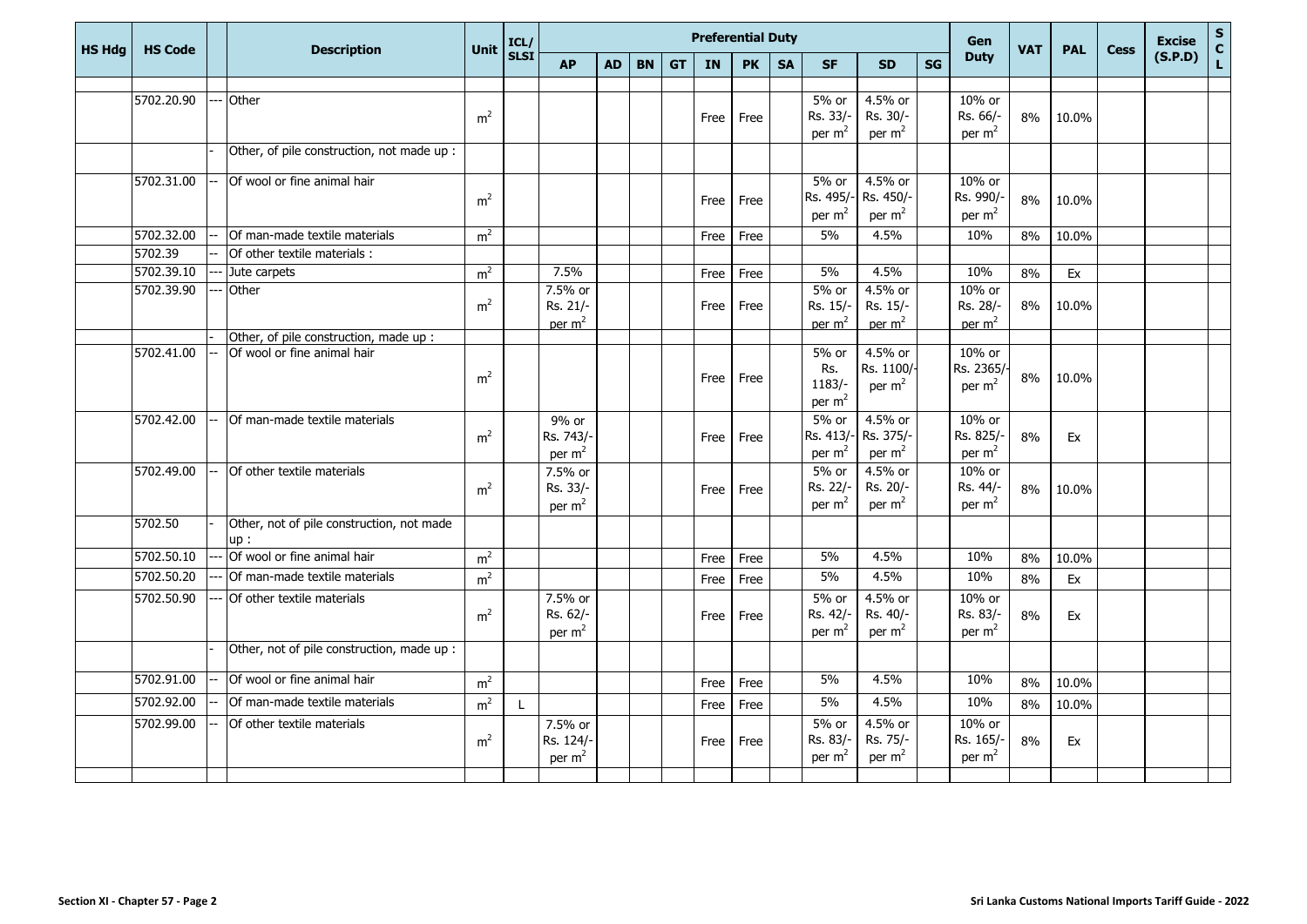| <b>HS Hdg</b> | <b>HS Code</b> | <b>Description</b>                                | Unit           | ICL/        |                                           |           |           |           | <b>Preferential Duty</b> |           |           |                                         |                                           |           | Gen                                      | <b>VAT</b> | <b>PAL</b> | <b>Cess</b> | <b>Excise</b><br>(S.P.D) | $\mathsf{s}$  |
|---------------|----------------|---------------------------------------------------|----------------|-------------|-------------------------------------------|-----------|-----------|-----------|--------------------------|-----------|-----------|-----------------------------------------|-------------------------------------------|-----------|------------------------------------------|------------|------------|-------------|--------------------------|---------------|
|               |                |                                                   |                | <b>SLSI</b> | <b>AP</b>                                 | <b>AD</b> | <b>BN</b> | <b>GT</b> | IN                       | <b>PK</b> | <b>SA</b> | <b>SF</b>                               | <b>SD</b>                                 | <b>SG</b> | <b>Duty</b>                              |            |            |             |                          | $\frac{c}{L}$ |
|               |                |                                                   |                |             |                                           |           |           |           |                          |           |           |                                         |                                           |           |                                          |            |            |             |                          |               |
|               | 5702.20.90     | Other                                             | m <sup>2</sup> |             |                                           |           |           |           | Free                     | Free      |           | 5% or<br>Rs. 33/-<br>per $m2$           | 4.5% or<br>Rs. 30/-<br>per $m2$           |           | 10% or<br>Rs. 66/-<br>per $m2$           | 8%         | 10.0%      |             |                          |               |
|               |                | Other, of pile construction, not made up :        |                |             |                                           |           |           |           |                          |           |           |                                         |                                           |           |                                          |            |            |             |                          |               |
|               | 5702.31.00     | Of wool or fine animal hair                       | m <sup>2</sup> |             |                                           |           |           |           | Free                     | Free      |           | 5% or<br>Rs. 495/<br>per $m2$           | 4.5% or<br>Rs. 450/-<br>per $m2$          |           | 10% or<br>Rs. 990/-<br>per $m2$          | 8%         | 10.0%      |             |                          |               |
|               | 5702.32.00     | Of man-made textile materials                     | m <sup>2</sup> |             |                                           |           |           |           | Free                     | Free      |           | 5%                                      | 4.5%                                      |           | 10%                                      | 8%         | 10.0%      |             |                          |               |
|               | 5702.39        | Of other textile materials:                       |                |             |                                           |           |           |           |                          |           |           |                                         |                                           |           |                                          |            |            |             |                          |               |
|               | 5702.39.10     | Jute carpets                                      | m <sup>2</sup> |             | 7.5%                                      |           |           |           | Free                     | Free      |           | 5%                                      | 4.5%                                      |           | 10%                                      | 8%         | Ex         |             |                          |               |
|               | 5702.39.90     | Other                                             | m <sup>2</sup> |             | 7.5% or<br>Rs. 21/-<br>per m <sup>2</sup> |           |           |           | Free                     | Free      |           | 5% or<br>Rs. 15/-<br>per m <sup>2</sup> | 4.5% or<br>Rs. 15/-<br>per m <sup>2</sup> |           | 10% or<br>Rs. 28/-<br>per m <sup>2</sup> | 8%         | 10.0%      |             |                          |               |
|               |                | Other, of pile construction, made up :            |                |             |                                           |           |           |           |                          |           |           |                                         |                                           |           |                                          |            |            |             |                          |               |
|               | 5702.41.00     | Of wool or fine animal hair                       | m <sup>2</sup> |             |                                           |           |           |           | Free                     | Free      |           | 5% or<br>Rs.<br>$1183/-$<br>per $m2$    | 4.5% or<br>Rs. 1100/-<br>per $m2$         |           | 10% or<br>Rs. 2365/<br>per $m2$          | 8%         | 10.0%      |             |                          |               |
|               | 5702.42.00     | Of man-made textile materials                     | m <sup>2</sup> |             | 9% or<br>Rs. 743/-<br>per $m2$            |           |           |           | Free                     | Free      |           | 5% or<br>Rs. 413/<br>per $m2$           | 4.5% or<br>Rs. 375/-<br>per $m2$          |           | 10% or<br>Rs. 825/-<br>per $m2$          | 8%         | Ex         |             |                          |               |
|               | 5702.49.00     | Of other textile materials                        | m <sup>2</sup> |             | 7.5% or<br>Rs. 33/-<br>per $m2$           |           |           |           | Free                     | Free      |           | 5% or<br>Rs. 22/-<br>per $m2$           | 4.5% or<br>Rs. 20/-<br>per $m2$           |           | 10% or<br>Rs. 44/-<br>per $m2$           | 8%         | 10.0%      |             |                          |               |
|               | 5702.50        | Other, not of pile construction, not made<br>up : |                |             |                                           |           |           |           |                          |           |           |                                         |                                           |           |                                          |            |            |             |                          |               |
|               | 5702.50.10     | Of wool or fine animal hair                       | m <sup>2</sup> |             |                                           |           |           |           | Free                     | Free      |           | 5%                                      | 4.5%                                      |           | 10%                                      | 8%         | 10.0%      |             |                          |               |
|               | 5702.50.20     | Of man-made textile materials                     | m <sup>2</sup> |             |                                           |           |           |           | Free                     | Free      |           | 5%                                      | 4.5%                                      |           | 10%                                      | 8%         | Ex         |             |                          |               |
|               | 5702.50.90     | Of other textile materials                        | m <sup>2</sup> |             | 7.5% or<br>Rs. 62/-<br>per $m2$           |           |           |           | Free                     | Free      |           | 5% or<br>Rs. 42/-<br>per $m2$           | 4.5% or<br>Rs. 40/-<br>per $m2$           |           | 10% or<br>Rs. 83/-<br>per $m2$           | 8%         | Ex         |             |                          |               |
|               |                | Other, not of pile construction, made up :        |                |             |                                           |           |           |           |                          |           |           |                                         |                                           |           |                                          |            |            |             |                          |               |
|               | 5702.91.00     | Of wool or fine animal hair                       | m <sup>2</sup> |             |                                           |           |           |           | Free                     | Free      |           | 5%                                      | 4.5%                                      |           | 10%                                      | 8%         | 10.0%      |             |                          |               |
|               | 5702.92.00     | Of man-made textile materials                     | m <sup>2</sup> | L           |                                           |           |           |           | Free                     | Free      |           | 5%                                      | 4.5%                                      |           | 10%                                      | 8%         | 10.0%      |             |                          |               |
|               | 5702.99.00     | Of other textile materials                        | m <sup>2</sup> |             | 7.5% or<br>Rs. 124/-<br>per $m2$          |           |           |           | Free                     | Free      |           | 5% or<br>Rs. 83/-<br>per $m2$           | 4.5% or<br>Rs. 75/-<br>per $m2$           |           | 10% or<br>Rs. 165/-<br>per $m2$          | 8%         | Ex         |             |                          |               |